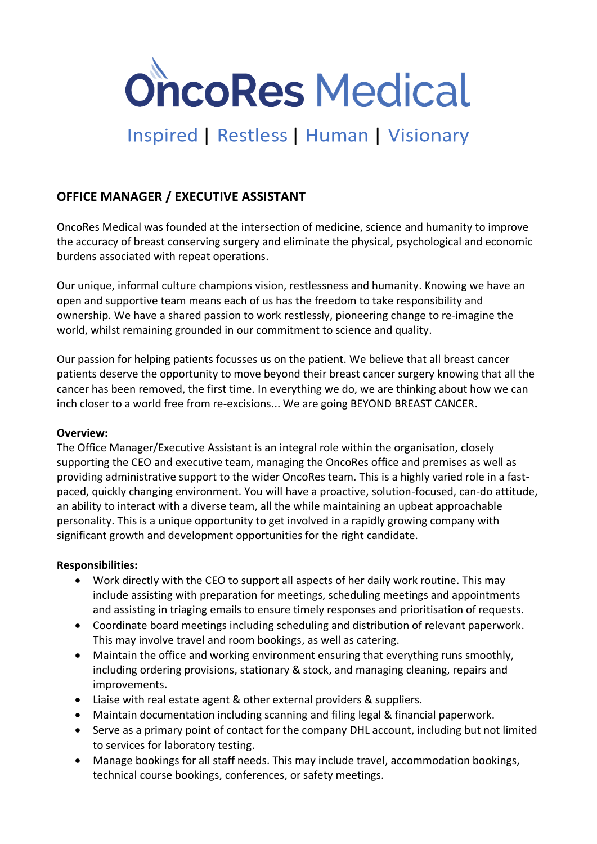

# Inspired | Restless | Human | Visionary

## **OFFICE MANAGER / EXECUTIVE ASSISTANT**

OncoRes Medical was founded at the intersection of medicine, science and humanity to improve the accuracy of breast conserving surgery and eliminate the physical, psychological and economic burdens associated with repeat operations.

Our unique, informal culture champions vision, restlessness and humanity. Knowing we have an open and supportive team means each of us has the freedom to take responsibility and ownership. We have a shared passion to work restlessly, pioneering change to re-imagine the world, whilst remaining grounded in our commitment to science and quality.

Our passion for helping patients focusses us on the patient. We believe that all breast cancer patients deserve the opportunity to move beyond their breast cancer surgery knowing that all the cancer has been removed, the first time. In everything we do, we are thinking about how we can inch closer to a world free from re-excisions... We are going BEYOND BREAST CANCER.

#### **Overview:**

The Office Manager/Executive Assistant is an integral role within the organisation, closely supporting the CEO and executive team, managing the OncoRes office and premises as well as providing administrative support to the wider OncoRes team. This is a highly varied role in a fastpaced, quickly changing environment. You will have a proactive, solution-focused, can-do attitude, an ability to interact with a diverse team, all the while maintaining an upbeat approachable personality. This is a unique opportunity to get involved in a rapidly growing company with significant growth and development opportunities for the right candidate.

#### **Responsibilities:**

- Work directly with the CEO to support all aspects of her daily work routine. This may include assisting with preparation for meetings, scheduling meetings and appointments and assisting in triaging emails to ensure timely responses and prioritisation of requests.
- Coordinate board meetings including scheduling and distribution of relevant paperwork. This may involve travel and room bookings, as well as catering.
- Maintain the office and working environment ensuring that everything runs smoothly, including ordering provisions, stationary & stock, and managing cleaning, repairs and improvements.
- Liaise with real estate agent & other external providers & suppliers.
- Maintain documentation including scanning and filing legal & financial paperwork.
- Serve as a primary point of contact for the company DHL account, including but not limited to services for laboratory testing.
- Manage bookings for all staff needs. This may include travel, accommodation bookings, technical course bookings, conferences, or safety meetings.